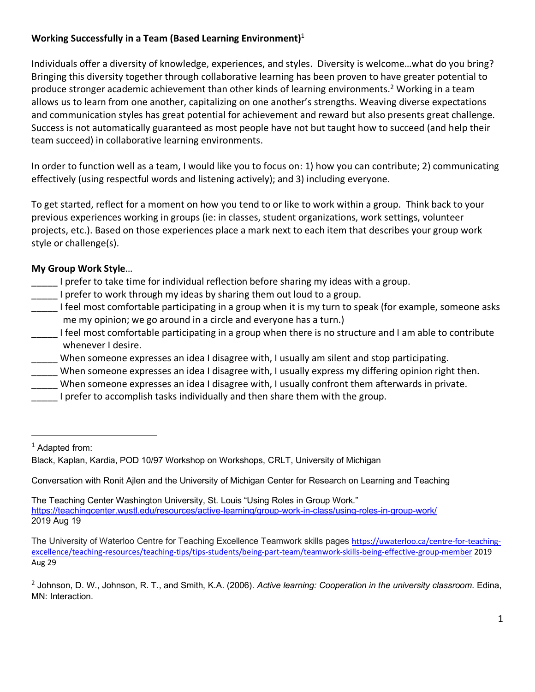# **Working Successfully in a Team (Based Learning Environment)**<sup>1</sup>

Individuals offer a diversity of knowledge, experiences, and styles. Diversity is welcome…what do you bring? Bringing this diversity together through collaborative learning has been proven to have greater potential to produce stronger academic achievement than other kinds of learning environments. <sup>2</sup> Working in a team allows us to learn from one another, capitalizing on one another's strengths. Weaving diverse expectations and communication styles has great potential for achievement and reward but also presents great challenge. Success is not automatically guaranteed as most people have not but taught how to succeed (and help their team succeed) in collaborative learning environments.

In order to function well as a team, I would like you to focus on: 1) how you can contribute; 2) communicating effectively (using respectful words and listening actively); and 3) including everyone.

To get started, reflect for a moment on how you tend to or like to work within a group. Think back to your previous experiences working in groups (ie: in classes, student organizations, work settings, volunteer projects, etc.). Based on those experiences place a mark next to each item that describes your group work style or challenge(s).

## **My Group Work Style**…

- \_\_\_\_\_ I prefer to take time for individual reflection before sharing my ideas with a group.
- I prefer to work through my ideas by sharing them out loud to a group.
- I feel most comfortable participating in a group when it is my turn to speak (for example, someone asks me my opinion; we go around in a circle and everyone has a turn.)
- I feel most comfortable participating in a group when there is no structure and I am able to contribute whenever I desire.
- \_\_\_\_\_ When someone expresses an idea I disagree with, I usually am silent and stop participating.
- When someone expresses an idea I disagree with, I usually express my differing opinion right then.
- When someone expresses an idea I disagree with, I usually confront them afterwards in private.
- I prefer to accomplish tasks individually and then share them with the group.

<sup>1</sup> Adapted from:

Conversation with Ronit Ajlen and the University of Michigan Center for Research on Learning and Teaching

The Teaching Center Washington University, St. Louis "Using Roles in Group Work." https://teachingcenter.wustl.edu/resources/active-learning/group-work-in-class/using-roles-in-group-work/ 2019 Aug 19

The University of Waterloo Centre for Teaching Excellence Teamwork skills pages https://uwaterloo.ca/centre-for-teachingexcellence/teaching-resources/teaching-tips/tips-students/being-part-team/teamwork-skills-being-effective-group-member 2019 Aug 29

<sup>2</sup> Johnson, D. W., Johnson, R. T., and Smith, K.A. (2006). *Active learning: Cooperation in the university classroom*. Edina, MN: Interaction.

Black, Kaplan, Kardia, POD 10/97 Workshop on Workshops, CRLT, University of Michigan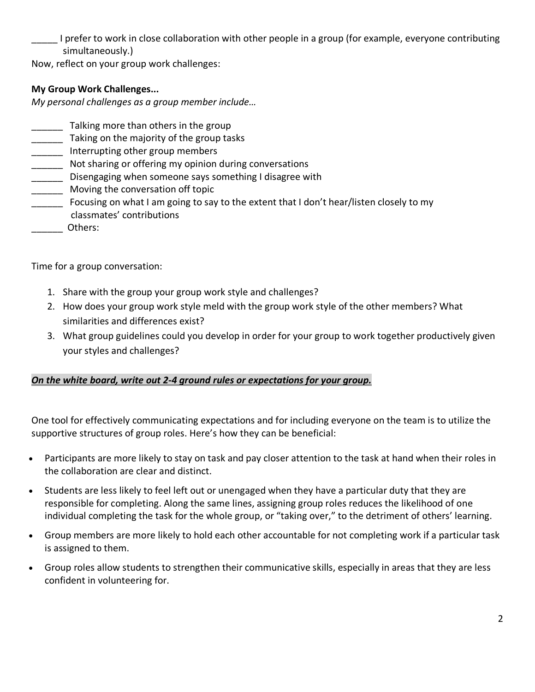I prefer to work in close collaboration with other people in a group (for example, everyone contributing simultaneously.)

Now, reflect on your group work challenges:

# **My Group Work Challenges...**

*My personal challenges as a group member include…*

- Talking more than others in the group
- **\_\_\_\_\_\_** Taking on the majority of the group tasks
- **\_\_\_\_\_\_\_** Interrupting other group members
- Not sharing or offering my opinion during conversations
- \_\_\_\_\_\_ Disengaging when someone says something I disagree with
- \_\_\_\_\_\_ Moving the conversation off topic
- Focusing on what I am going to say to the extent that I don't hear/listen closely to my classmates' contributions
- \_\_\_\_\_\_ Others:

Time for a group conversation:

- 1. Share with the group your group work style and challenges?
- 2. How does your group work style meld with the group work style of the other members? What similarities and differences exist?
- 3. What group guidelines could you develop in order for your group to work together productively given your styles and challenges?

## *On the white board, write out 2-4 ground rules or expectations for your group.*

One tool for effectively communicating expectations and for including everyone on the team is to utilize the supportive structures of group roles. Here's how they can be beneficial:

- Participants are more likely to stay on task and pay closer attention to the task at hand when their roles in the collaboration are clear and distinct.
- Students are less likely to feel left out or unengaged when they have a particular duty that they are responsible for completing. Along the same lines, assigning group roles reduces the likelihood of one individual completing the task for the whole group, or "taking over," to the detriment of others' learning.
- Group members are more likely to hold each other accountable for not completing work if a particular task is assigned to them.
- Group roles allow students to strengthen their communicative skills, especially in areas that they are less confident in volunteering for.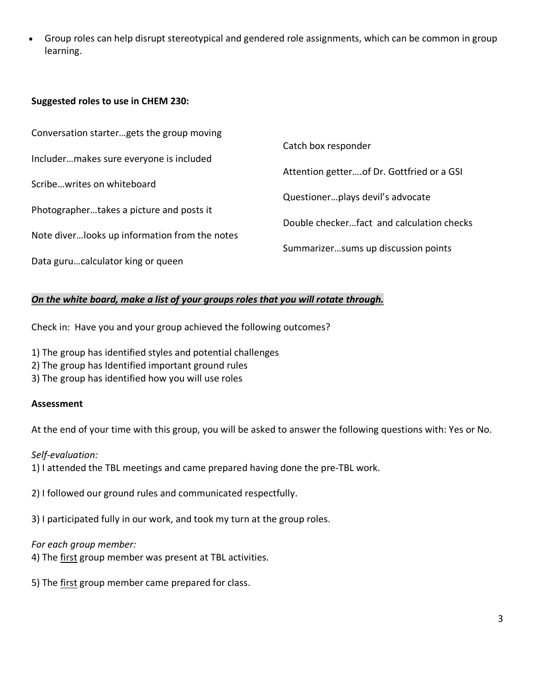• Group roles can help disrupt stereotypical and gendered role assignments, which can be common in group learning.

#### **Suggested roles to use in CHEM 230:**

| Conversation startergets the group moving      |                                            |
|------------------------------------------------|--------------------------------------------|
|                                                | Catch box responder                        |
| Includermakes sure everyone is included        |                                            |
|                                                | Attention getter of Dr. Gottfried or a GSI |
| Scribewrites on whiteboard                     |                                            |
|                                                | Questionerplays devil's advocate           |
| Photographertakes a picture and posts it       |                                            |
|                                                | Double checkerfact and calculation checks  |
| Note diver looks up information from the notes |                                            |
|                                                | Summarizersums up discussion points        |
| Data gurucalculator king or queen              |                                            |

### *On the white board, make a list of your groups roles that you will rotate through.*

Check in: Have you and your group achieved the following outcomes?

- 1) The group has identified styles and potential challenges
- 2) The group has Identified important ground rules
- 3) The group has identified how you will use roles

#### **Assessment**

At the end of your time with this group, you will be asked to answer the following questions with: Yes or No.

*Self-evaluation:* 1) I attended the TBL meetings and came prepared having done the pre-TBL work.

2) I followed our ground rules and communicated respectfully.

3) I participated fully in our work, and took my turn at the group roles.

#### *For each group member:*

4) The first group member was present at TBL activities.

5) The first group member came prepared for class.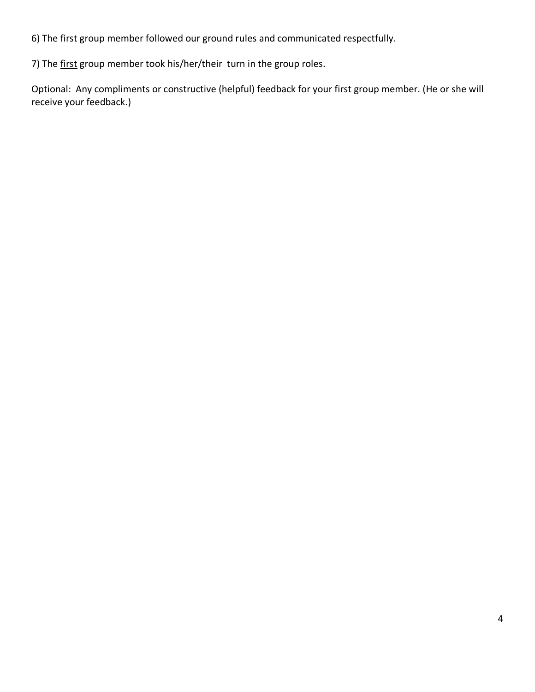6) The first group member followed our ground rules and communicated respectfully.

7) The first group member took his/her/their turn in the group roles.

Optional: Any compliments or constructive (helpful) feedback for your first group member. (He or she will receive your feedback.)